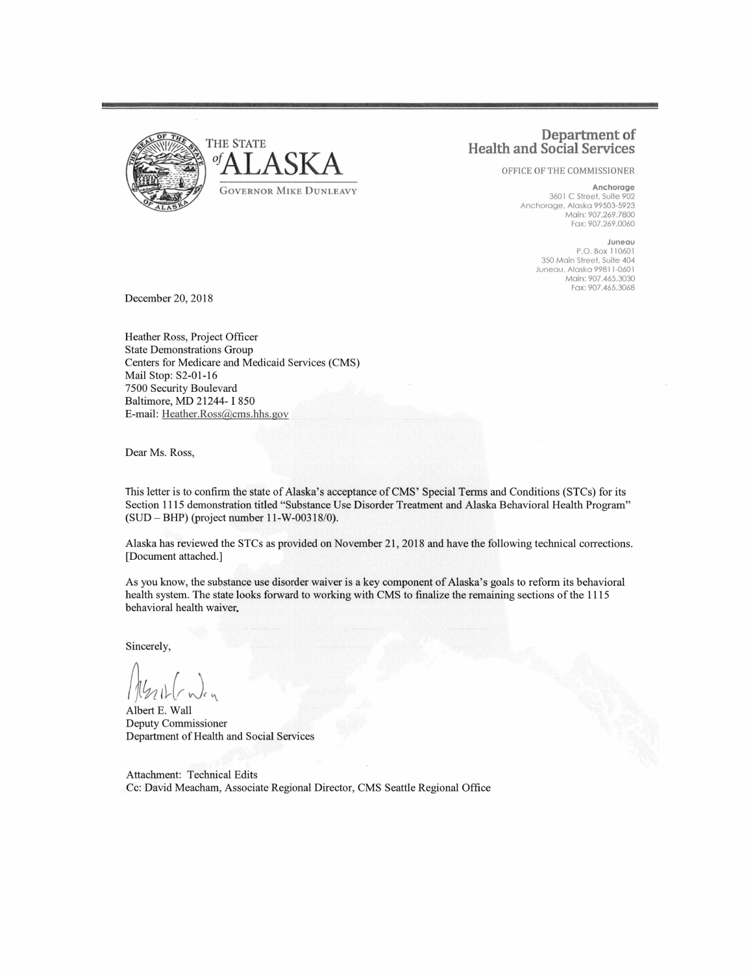

## **Department of Health and Social Services**

OFFICE OF THE COMMISSIONER

**Anchorage**  3601 C Street, Suite 902 Anchorage, Alaska 99503-5923 Main: 907.269.7800 Fax: 907 .269 .0060

> **Juneau**  P.O. Box 110601 350 Main Street, Suite 404 Juneau, Alaska 998 11 -0601 Main: 907.465.3030 Fax: 907.465.3068

December 20, 2018

Heather Ross, Project Officer State Demonstrations Group Centers for Medicare and Medicaid Services (CMS) Mail Stop: S2-01-16 7500 Security Boulevard Baltimore, MD 21244- I 850 E-mail: Heather.Ross@cms.hhs.gov

Dear Ms. Ross,

This letter is to confirm the state of Alaska's acceptance of CMS' Special Terms and Conditions (STCs) for its Section 1115 demonstration titled "Substance Use Disorder Treatment and Alaska Behavioral Health Program" (SUD - BHP) (project number 11-W-00318/0).

Alaska has reviewed the STCs as provided on November 21, 2018 and have the following technical corrections. [Document attached.]

As you know, the substance use disorder waiver is a key component of Alaska's goals to reform its behavioral health system. The state looks forward to working with CMS to finalize the remaining sections of the 1115 behavioral health waiver.

Sincerely,

 $\sqrt{14n11}$ cy

Albert E. Wall Deputy Commissioner Department of Health and Social Services

Attachment: Technical Edits Cc: David Meacham, Associate Regional Director, CMS Seattle Regional Office